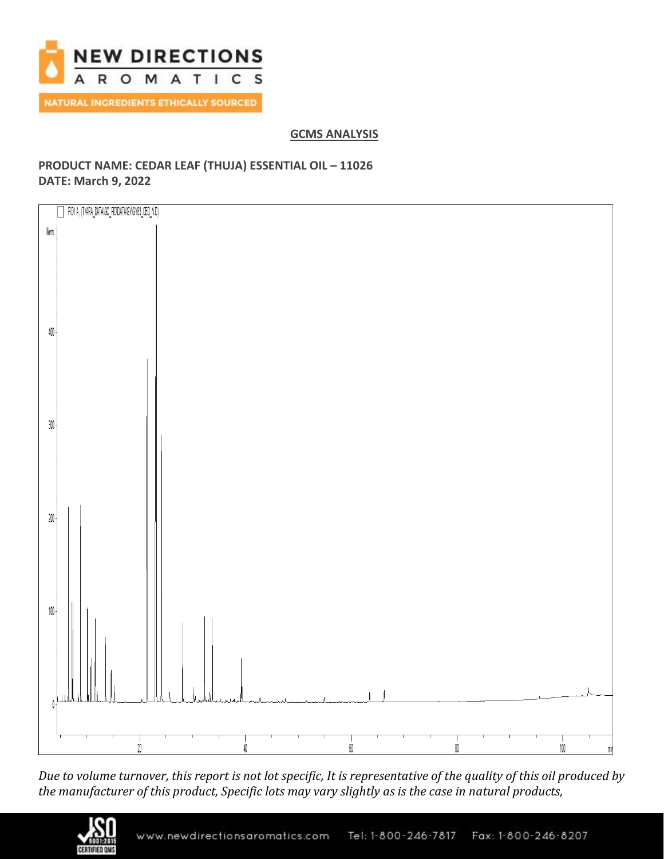

# **GCMS ANALYSIS**

# **PRODUCT NAME: CEDAR LEAF (THUJA) ESSENTIAL OIL – 11026 DATE: March 9, 2022**



*Due to volume turnover, this report is not lot specific, It is representative of the quality of this oil produced by the manufacturer of this product, Specific lots may vary slightly as is the case in natural products,*

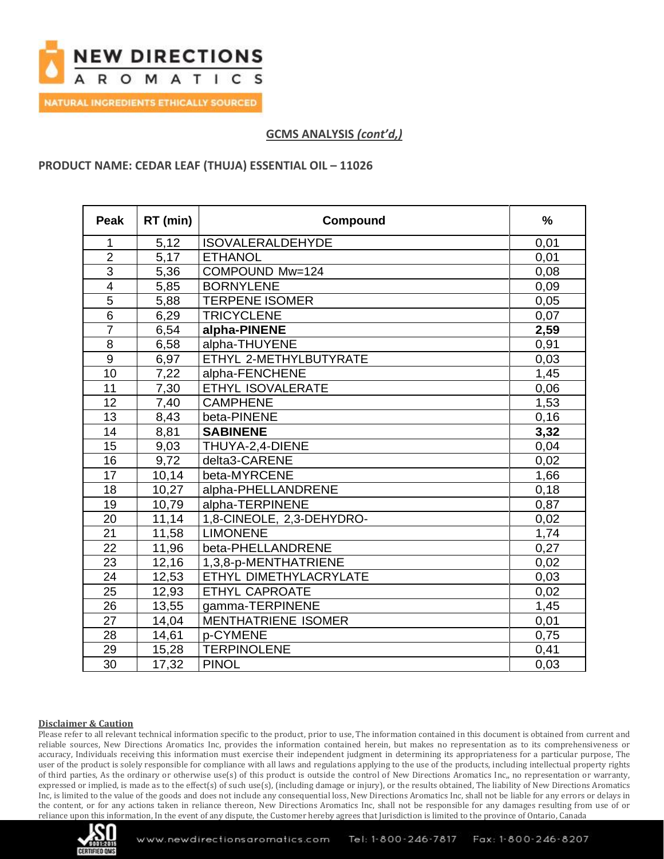

**GCMS ANALYSIS** *(cont'd,)*

## **PRODUCT NAME: CEDAR LEAF (THUJA) ESSENTIAL OIL – 11026**

| Peak            | RT (min) | Compound                   | $\frac{0}{0}$ |
|-----------------|----------|----------------------------|---------------|
|                 | 5,12     | <b>ISOVALERALDEHYDE</b>    | 0,01          |
| $\overline{2}$  | 5,17     | <b>ETHANOL</b>             | 0,01          |
| $\overline{3}$  | 5,36     | COMPOUND Mw=124            | 0,08          |
| $\overline{4}$  | 5,85     | <b>BORNYLENE</b>           | 0,09          |
| $\overline{5}$  | 5,88     | <b>TERPENE ISOMER</b>      | 0,05          |
| $6\phantom{1}6$ | 6,29     | <b>TRICYCLENE</b>          | 0,07          |
| $\overline{7}$  | 6,54     | alpha-PINENE               | 2,59          |
| 8               | 6,58     | alpha-THUYENE              | 0,91          |
| 9               | 6,97     | ETHYL 2-METHYLBUTYRATE     | 0,03          |
| 10              | 7,22     | alpha-FENCHENE             | 1,45          |
| 11              | 7,30     | <b>ETHYL ISOVALERATE</b>   | 0,06          |
| 12              | 7,40     | <b>CAMPHENE</b>            | 1,53          |
| 13              | 8,43     | beta-PINENE                | 0,16          |
| 14              | 8,81     | <b>SABINENE</b>            | 3,32          |
| 15              | 9,03     | THUYA-2,4-DIENE            | 0,04          |
| 16              | 9,72     | delta3-CARENE              | 0,02          |
| 17              | 10,14    | beta-MYRCENE               | 1,66          |
| 18              | 10,27    | alpha-PHELLANDRENE         | 0,18          |
| 19              | 10,79    | alpha-TERPINENE            | 0,87          |
| 20              | 11,14    | 1,8-CINEOLE, 2,3-DEHYDRO-  | 0,02          |
| 21              | 11,58    | <b>LIMONENE</b>            | 1,74          |
| 22              | 11,96    | beta-PHELLANDRENE          | 0,27          |
| 23              | 12,16    | 1,3,8-p-MENTHATRIENE       | 0,02          |
| 24              | 12,53    | ETHYL DIMETHYLACRYLATE     | 0,03          |
| 25              | 12,93    | <b>ETHYL CAPROATE</b>      | 0,02          |
| 26              | 13,55    | gamma-TERPINENE            | 1,45          |
| 27              | 14,04    | <b>MENTHATRIENE ISOMER</b> | 0,01          |
| 28              | 14,61    | p-CYMENE                   | 0,75          |
| 29              | 15,28    | <b>TERPINOLENE</b>         | 0,41          |
| 30              | 17,32    | <b>PINOL</b>               | 0,03          |

### **Disclaimer & Caution**

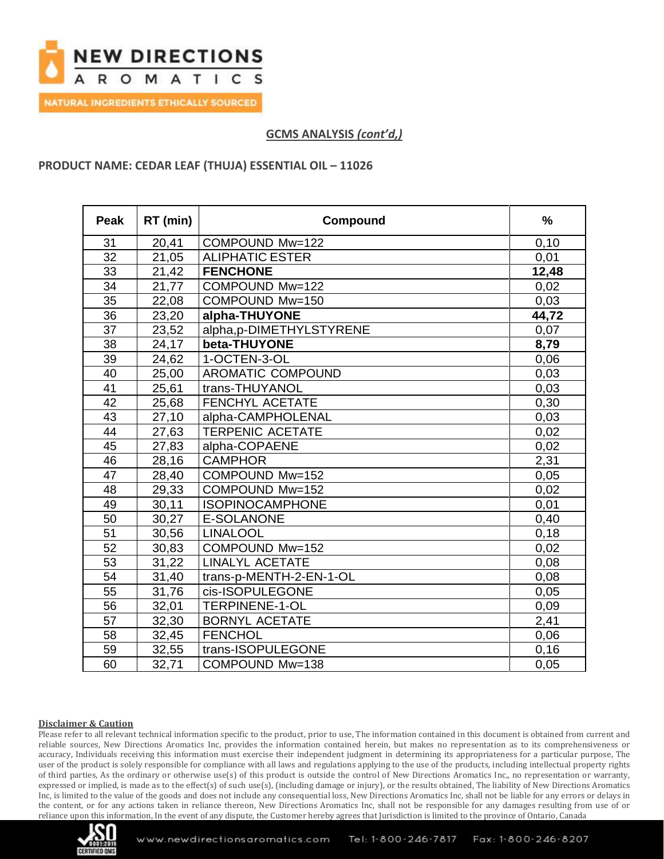

**GCMS ANALYSIS** *(cont'd,)*

## **PRODUCT NAME: CEDAR LEAF (THUJA) ESSENTIAL OIL – 11026**

| Peak | RT (min) | Compound                 | $\frac{9}{6}$ |
|------|----------|--------------------------|---------------|
| 31   | 20,41    | COMPOUND Mw=122          | 0,10          |
| 32   | 21,05    | <b>ALIPHATIC ESTER</b>   | 0,01          |
| 33   | 21,42    | <b>FENCHONE</b>          | 12,48         |
| 34   | 21,77    | COMPOUND Mw=122          | 0,02          |
| 35   | 22,08    | COMPOUND Mw=150          | 0,03          |
| 36   | 23,20    | alpha-THUYONE            | 44,72         |
| 37   | 23,52    | alpha,p-DIMETHYLSTYRENE  | 0,07          |
| 38   | 24,17    | beta-THUYONE             | 8,79          |
| 39   | 24,62    | 1-OCTEN-3-OL             | 0,06          |
| 40   | 25,00    | <b>AROMATIC COMPOUND</b> | 0,03          |
| 41   | 25,61    | trans-THUYANOL           | 0,03          |
| 42   | 25,68    | FENCHYL ACETATE          | 0,30          |
| 43   | 27,10    | alpha-CAMPHOLENAL        | 0,03          |
| 44   | 27,63    | <b>TERPENIC ACETATE</b>  | 0,02          |
| 45   | 27,83    | alpha-COPAENE            | 0,02          |
| 46   | 28,16    | <b>CAMPHOR</b>           | 2,31          |
| 47   | 28,40    | COMPOUND Mw=152          | 0,05          |
| 48   | 29,33    | COMPOUND Mw=152          | 0,02          |
| 49   | 30,11    | <b>ISOPINOCAMPHONE</b>   | 0,01          |
| 50   | 30,27    | <b>E-SOLANONE</b>        | 0,40          |
| 51   | 30,56    | <b>LINALOOL</b>          | 0,18          |
| 52   | 30,83    | COMPOUND Mw=152          | 0,02          |
| 53   | 31,22    | <b>LINALYL ACETATE</b>   | 0,08          |
| 54   | 31,40    | trans-p-MENTH-2-EN-1-OL  | 0,08          |
| 55   | 31,76    | cis-ISOPULEGONE          | 0,05          |
| 56   | 32,01    | <b>TERPINENE-1-OL</b>    | 0,09          |
| 57   | 32,30    | <b>BORNYL ACETATE</b>    | 2,41          |
| 58   | 32,45    | <b>FENCHOL</b>           | 0,06          |
| 59   | 32,55    | trans-ISOPULEGONE        | 0,16          |
| 60   | 32,71    | COMPOUND Mw=138          | 0,05          |

### **Disclaimer & Caution**

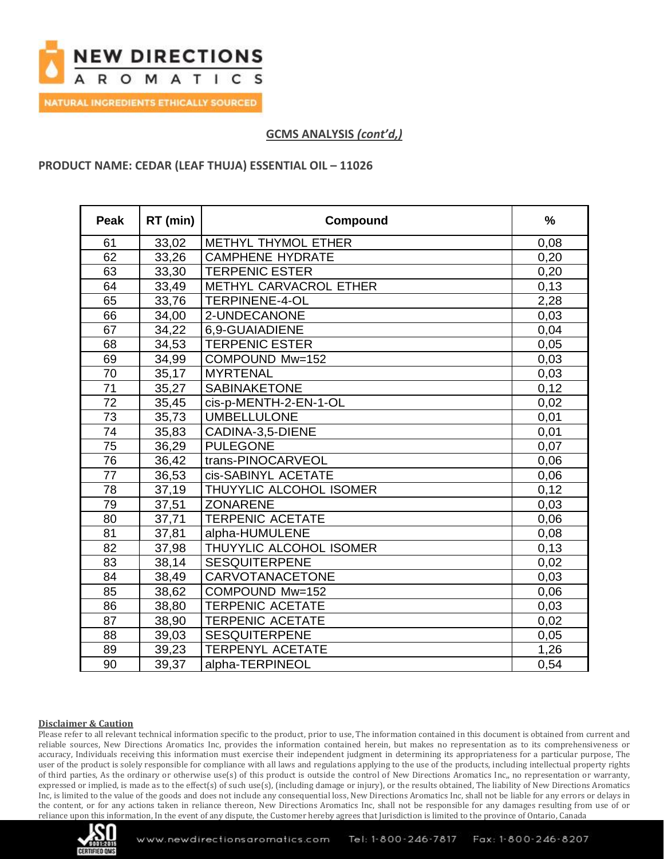

**GCMS ANALYSIS** *(cont'd,)*

## **PRODUCT NAME: CEDAR (LEAF THUJA) ESSENTIAL OIL – 11026**

| <b>Peak</b>     | RT (min) | Compound                | $\frac{9}{6}$ |
|-----------------|----------|-------------------------|---------------|
| 61              | 33,02    | METHYL THYMOL ETHER     | 0,08          |
| 62              | 33,26    | <b>CAMPHENE HYDRATE</b> | 0,20          |
| 63              | 33,30    | <b>TERPENIC ESTER</b>   | 0,20          |
| 64              | 33,49    | METHYL CARVACROL ETHER  | 0,13          |
| 65              | 33,76    | <b>TERPINENE-4-OL</b>   | 2,28          |
| 66              | 34,00    | 2-UNDECANONE            | 0,03          |
| 67              | 34,22    | 6,9-GUAIADIENE          | 0,04          |
| 68              | 34,53    | <b>TERPENIC ESTER</b>   | 0,05          |
| 69              | 34,99    | COMPOUND Mw=152         | 0,03          |
| 70              | 35,17    | <b>MYRTENAL</b>         | 0,03          |
| 71              | 35,27    | <b>SABINAKETONE</b>     | 0,12          |
| 72              | 35,45    | cis-p-MENTH-2-EN-1-OL   | 0,02          |
| 73              | 35,73    | <b>UMBELLULONE</b>      | 0,01          |
| $\overline{74}$ | 35,83    | CADINA-3,5-DIENE        | 0,01          |
| 75              | 36,29    | <b>PULEGONE</b>         | 0,07          |
| 76              | 36,42    | trans-PINOCARVEOL       | 0,06          |
| 77              | 36,53    | cis-SABINYL ACETATE     | 0,06          |
| 78              | 37,19    | THUYYLIC ALCOHOL ISOMER | 0,12          |
| 79              | 37,51    | <b>ZONARENE</b>         | 0,03          |
| 80              | 37,71    | <b>TERPENIC ACETATE</b> | 0,06          |
| 81              | 37,81    | alpha-HUMULENE          | 0,08          |
| 82              | 37,98    | THUYYLIC ALCOHOL ISOMER | 0,13          |
| 83              | 38,14    | <b>SESQUITERPENE</b>    | 0,02          |
| 84              | 38,49    | <b>CARVOTANACETONE</b>  | 0,03          |
| 85              | 38,62    | COMPOUND Mw=152         | 0,06          |
| 86              | 38,80    | <b>TERPENIC ACETATE</b> | 0,03          |
| 87              | 38,90    | <b>TERPENIC ACETATE</b> | 0,02          |
| 88              | 39,03    | <b>SESQUITERPENE</b>    | 0,05          |
| 89              | 39,23    | <b>TERPENYL ACETATE</b> | 1,26          |
| 90              | 39,37    | alpha-TERPINEOL         | 0,54          |

### **Disclaimer & Caution**

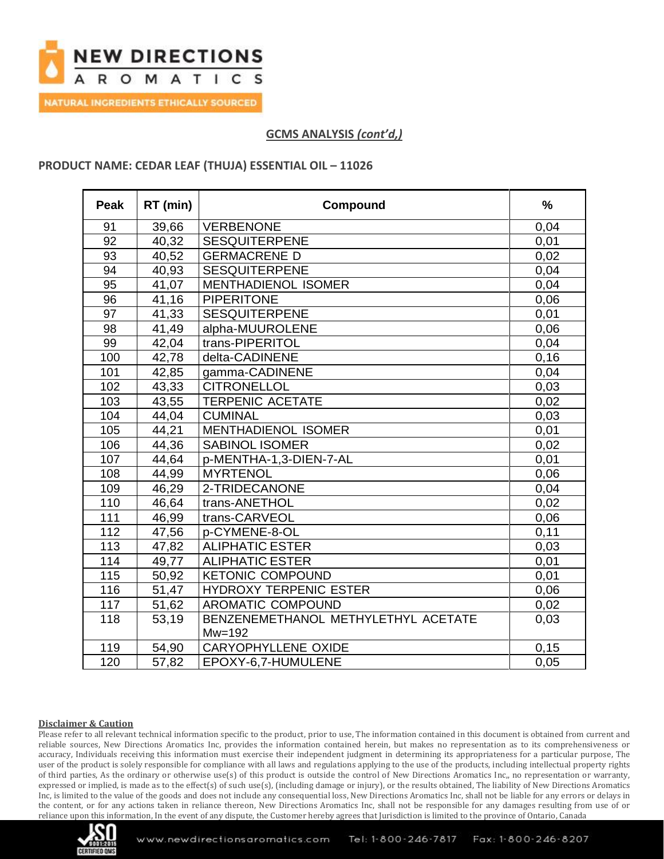

**NATURAL INGREDIENTS ETHICALLY SOURCED** 

# **GCMS ANALYSIS** *(cont'd,)*

### **PRODUCT NAME: CEDAR LEAF (THUJA) ESSENTIAL OIL – 11026**

| Peak | RT (min) | Compound                            | $\frac{9}{6}$ |
|------|----------|-------------------------------------|---------------|
| 91   | 39,66    | <b>VERBENONE</b>                    | 0,04          |
| 92   | 40,32    | <b>SESQUITERPENE</b>                | 0,01          |
| 93   | 40,52    | <b>GERMACRENE D</b>                 | 0,02          |
| 94   | 40,93    | <b>SESQUITERPENE</b>                | 0,04          |
| 95   | 41,07    | <b>MENTHADIENOL ISOMER</b>          | 0,04          |
| 96   | 41,16    | <b>PIPERITONE</b>                   | 0,06          |
| 97   | 41,33    | <b>SESQUITERPENE</b>                | 0,01          |
| 98   | 41,49    | alpha-MUUROLENE                     | 0,06          |
| 99   | 42,04    | trans-PIPERITOL                     | 0,04          |
| 100  | 42,78    | delta-CADINENE                      | 0,16          |
| 101  | 42,85    | gamma-CADINENE                      | 0,04          |
| 102  | 43,33    | <b>CITRONELLOL</b>                  | 0,03          |
| 103  | 43,55    | <b>TERPENIC ACETATE</b>             | 0,02          |
| 104  | 44,04    | <b>CUMINAL</b>                      | 0,03          |
| 105  | 44,21    | <b>MENTHADIENOL ISOMER</b>          | 0,01          |
| 106  | 44,36    | <b>SABINOL ISOMER</b>               | 0,02          |
| 107  | 44,64    | p-MENTHA-1,3-DIEN-7-AL              | 0,01          |
| 108  | 44,99    | <b>MYRTENOL</b>                     | 0,06          |
| 109  | 46,29    | 2-TRIDECANONE                       | 0,04          |
| 110  | 46,64    | trans-ANETHOL                       | 0,02          |
| 111  | 46,99    | trans-CARVEOL                       | 0,06          |
| 112  | 47,56    | p-CYMENE-8-OL                       | 0,11          |
| 113  | 47,82    | <b>ALIPHATIC ESTER</b>              | 0,03          |
| 114  | 49,77    | <b>ALIPHATIC ESTER</b>              | 0,01          |
| 115  | 50,92    | <b>KETONIC COMPOUND</b>             | 0,01          |
| 116  | 51,47    | <b>HYDROXY TERPENIC ESTER</b>       | 0,06          |
| 117  | 51,62    | AROMATIC COMPOUND                   | 0,02          |
| 118  | 53,19    | BENZENEMETHANOL METHYLETHYL ACETATE | 0,03          |
|      |          | $Mw=192$                            |               |
| 119  | 54,90    | <b>CARYOPHYLLENE OXIDE</b>          | 0,15          |
| 120  | 57,82    | EPOXY-6,7-HUMULENE                  | 0,05          |

### **Disclaimer & Caution**